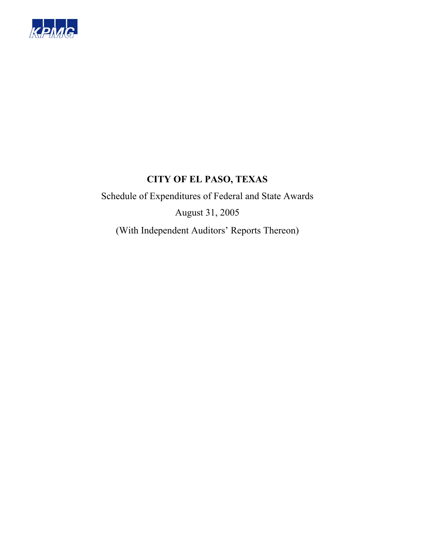

Schedule of Expenditures of Federal and State Awards August 31, 2005 (With Independent Auditors' Reports Thereon)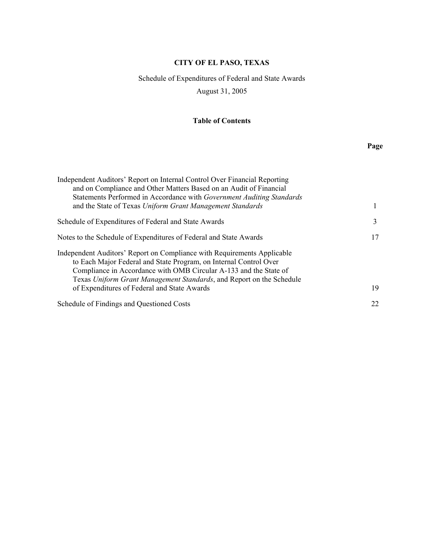# Schedule of Expenditures of Federal and State Awards August 31, 2005

## **Table of Contents**

# **Page**

| Independent Auditors' Report on Internal Control Over Financial Reporting<br>and on Compliance and Other Matters Based on an Audit of Financial<br>Statements Performed in Accordance with Government Auditing Standards                                                                                                                 |    |
|------------------------------------------------------------------------------------------------------------------------------------------------------------------------------------------------------------------------------------------------------------------------------------------------------------------------------------------|----|
| and the State of Texas Uniform Grant Management Standards                                                                                                                                                                                                                                                                                |    |
| Schedule of Expenditures of Federal and State Awards                                                                                                                                                                                                                                                                                     | 3  |
| Notes to the Schedule of Expenditures of Federal and State Awards                                                                                                                                                                                                                                                                        | 17 |
| Independent Auditors' Report on Compliance with Requirements Applicable<br>to Each Major Federal and State Program, on Internal Control Over<br>Compliance in Accordance with OMB Circular A-133 and the State of<br>Texas Uniform Grant Management Standards, and Report on the Schedule<br>of Expenditures of Federal and State Awards | 19 |
| Schedule of Findings and Questioned Costs                                                                                                                                                                                                                                                                                                | 22 |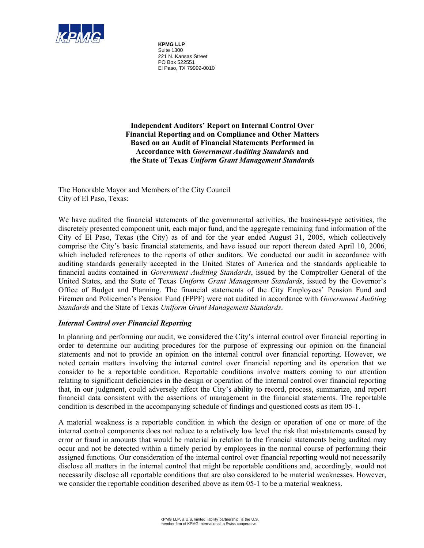

**KPMG LLP** Suite 1300 221 N. Kansas Street PO Box 522551 El Paso, TX 79999-0010

**Independent Auditors' Report on Internal Control Over Financial Reporting and on Compliance and Other Matters Based on an Audit of Financial Statements Performed in Accordance with** *Government Auditing Standards* **and the State of Texas** *Uniform Grant Management Standards* 

The Honorable Mayor and Members of the City Council City of El Paso, Texas:

We have audited the financial statements of the governmental activities, the business-type activities, the discretely presented component unit, each major fund, and the aggregate remaining fund information of the City of El Paso, Texas (the City) as of and for the year ended August 31, 2005, which collectively comprise the City's basic financial statements, and have issued our report thereon dated April 10, 2006, which included references to the reports of other auditors. We conducted our audit in accordance with auditing standards generally accepted in the United States of America and the standards applicable to financial audits contained in *Government Auditing Standards*, issued by the Comptroller General of the United States, and the State of Texas *Uniform Grant Management Standards*, issued by the Governor's Office of Budget and Planning. The financial statements of the City Employees' Pension Fund and Firemen and Policemen's Pension Fund (FPPF) were not audited in accordance with *Government Auditing Standards* and the State of Texas *Uniform Grant Management Standards*.

#### *Internal Control over Financial Reporting*

In planning and performing our audit, we considered the City's internal control over financial reporting in order to determine our auditing procedures for the purpose of expressing our opinion on the financial statements and not to provide an opinion on the internal control over financial reporting. However, we noted certain matters involving the internal control over financial reporting and its operation that we consider to be a reportable condition. Reportable conditions involve matters coming to our attention relating to significant deficiencies in the design or operation of the internal control over financial reporting that, in our judgment, could adversely affect the City's ability to record, process, summarize, and report financial data consistent with the assertions of management in the financial statements. The reportable condition is described in the accompanying schedule of findings and questioned costs as item 05-1.

A material weakness is a reportable condition in which the design or operation of one or more of the internal control components does not reduce to a relatively low level the risk that misstatements caused by error or fraud in amounts that would be material in relation to the financial statements being audited may occur and not be detected within a timely period by employees in the normal course of performing their assigned functions. Our consideration of the internal control over financial reporting would not necessarily disclose all matters in the internal control that might be reportable conditions and, accordingly, would not necessarily disclose all reportable conditions that are also considered to be material weaknesses. However, we consider the reportable condition described above as item 05-1 to be a material weakness.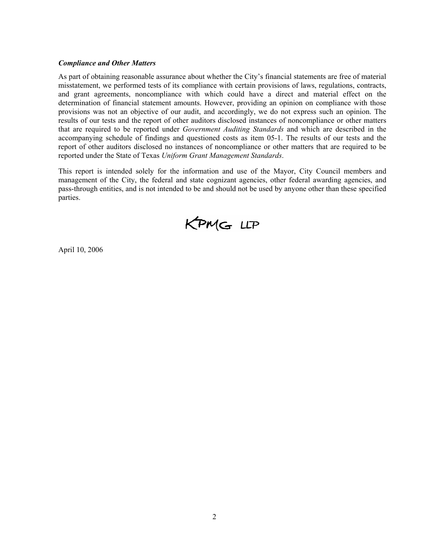#### *Compliance and Other Matters*

As part of obtaining reasonable assurance about whether the City's financial statements are free of material misstatement, we performed tests of its compliance with certain provisions of laws, regulations, contracts, and grant agreements, noncompliance with which could have a direct and material effect on the determination of financial statement amounts. However, providing an opinion on compliance with those provisions was not an objective of our audit, and accordingly, we do not express such an opinion. The results of our tests and the report of other auditors disclosed instances of noncompliance or other matters that are required to be reported under *Government Auditing Standards* and which are described in the accompanying schedule of findings and questioned costs as item 05-1. The results of our tests and the report of other auditors disclosed no instances of noncompliance or other matters that are required to be reported under the State of Texas *Uniform Grant Management Standards*.

This report is intended solely for the information and use of the Mayor, City Council members and management of the City, the federal and state cognizant agencies, other federal awarding agencies, and pass-through entities, and is not intended to be and should not be used by anyone other than these specified parties.



April 10, 2006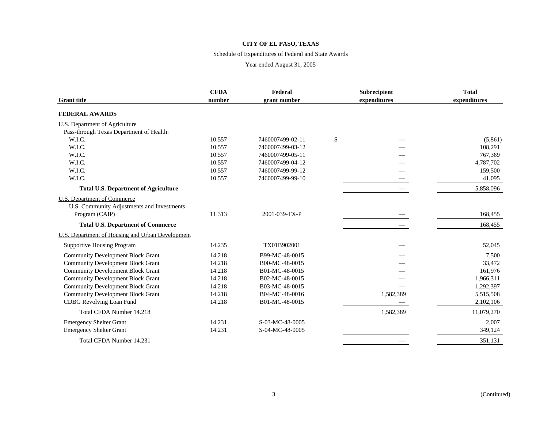#### Schedule of Expenditures of Federal and State Awards

| <b>Grant title</b>                               | <b>CFDA</b><br>number | Federal<br>grant number | Subrecipient<br>expenditures |           | <b>Total</b><br>expenditures |
|--------------------------------------------------|-----------------------|-------------------------|------------------------------|-----------|------------------------------|
| <b>FEDERAL AWARDS</b>                            |                       |                         |                              |           |                              |
| U.S. Department of Agriculture                   |                       |                         |                              |           |                              |
| Pass-through Texas Department of Health:         |                       |                         |                              |           |                              |
| W.I.C.                                           | 10.557                | 7460007499-02-11        | \$                           |           | (5,861)                      |
| W.I.C.                                           | 10.557                | 7460007499-03-12        |                              |           | 108,291                      |
| W.I.C.                                           | 10.557                | 7460007499-05-11        |                              |           | 767,369                      |
| W.I.C.                                           | 10.557                | 7460007499-04-12        |                              |           | 4,787,702                    |
| W.I.C.                                           | 10.557                | 7460007499-99-12        |                              |           | 159,500                      |
| W.I.C.                                           | 10.557                | 7460007499-99-10        |                              |           | 41,095                       |
| <b>Total U.S. Department of Agriculture</b>      |                       |                         |                              |           | 5,858,096                    |
| <b>U.S. Department of Commerce</b>               |                       |                         |                              |           |                              |
| U.S. Community Adjustments and Investments       |                       |                         |                              |           |                              |
| Program (CAIP)                                   | 11.313                | 2001-039-TX-P           |                              |           | 168,455                      |
| <b>Total U.S. Department of Commerce</b>         |                       |                         |                              |           | 168,455                      |
| U.S. Department of Housing and Urban Development |                       |                         |                              |           |                              |
| <b>Supportive Housing Program</b>                | 14.235                | TX01B902001             |                              |           | 52,045                       |
| <b>Community Development Block Grant</b>         | 14.218                | B99-MC-48-0015          |                              |           | 7,500                        |
| <b>Community Development Block Grant</b>         | 14.218                | B00-MC-48-0015          |                              |           | 33,472                       |
| <b>Community Development Block Grant</b>         | 14.218                | B01-MC-48-0015          |                              |           | 161,976                      |
| <b>Community Development Block Grant</b>         | 14.218                | B02-MC-48-0015          |                              |           | 1,966,311                    |
| <b>Community Development Block Grant</b>         | 14.218                | B03-MC-48-0015          |                              |           | 1,292,397                    |
| <b>Community Development Block Grant</b>         | 14.218                | B04-MC-48-0016          |                              | 1,582,389 | 5,515,508                    |
| <b>CDBG</b> Revolving Loan Fund                  | 14.218                | B01-MC-48-0015          |                              |           | 2,102,106                    |
| Total CFDA Number 14.218                         |                       |                         |                              | 1,582,389 | 11,079,270                   |
| <b>Emergency Shelter Grant</b>                   | 14.231                | S-03-MC-48-0005         |                              |           | 2,007                        |
| <b>Emergency Shelter Grant</b>                   | 14.231                | S-04-MC-48-0005         |                              |           | 349,124                      |
| Total CFDA Number 14.231                         |                       |                         |                              |           | 351,131                      |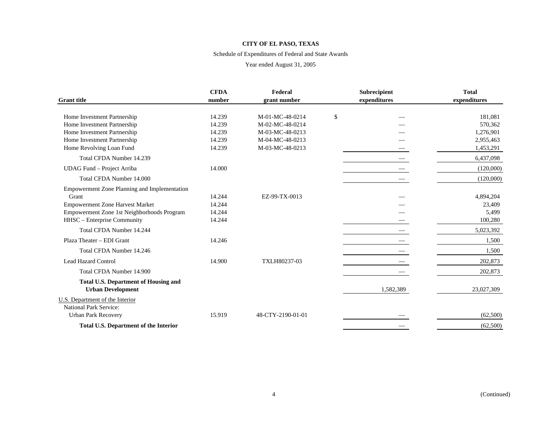#### Schedule of Expenditures of Federal and State Awards

|                                                                         | <b>CFDA</b> | Federal           | <b>Subrecipient</b> | <b>Total</b> |
|-------------------------------------------------------------------------|-------------|-------------------|---------------------|--------------|
| <b>Grant</b> title                                                      | number      | grant number      | expenditures        | expenditures |
| Home Investment Partnership                                             | 14.239      | M-01-MC-48-0214   | \$                  | 181,081      |
| Home Investment Partnership                                             | 14.239      | M-02-MC-48-0214   |                     | 570,362      |
| Home Investment Partnership                                             | 14.239      | M-03-MC-48-0213   |                     | 1,276,901    |
| Home Investment Partnership                                             | 14.239      | M-04-MC-48-0213   |                     | 2,955,463    |
| Home Revolving Loan Fund                                                | 14.239      | M-03-MC-48-0213   |                     | 1,453,291    |
| Total CFDA Number 14.239                                                |             |                   |                     | 6,437,098    |
| UDAG Fund - Project Arriba                                              | 14.000      |                   |                     | (120,000)    |
| Total CFDA Number 14,000                                                |             |                   |                     | (120,000)    |
| <b>Empowerment Zone Planning and Implementation</b>                     |             |                   |                     |              |
| Grant                                                                   | 14.244      | EZ-99-TX-0013     |                     | 4,894,204    |
| <b>Empowerment Zone Harvest Market</b>                                  | 14.244      |                   |                     | 23,409       |
| Empowerment Zone 1st Neighborhoods Program                              | 14.244      |                   |                     | 5,499        |
| HHSC - Enterprise Community                                             | 14.244      |                   |                     | 100,280      |
| Total CFDA Number 14.244                                                |             |                   |                     | 5,023,392    |
| Plaza Theater - EDI Grant                                               | 14.246      |                   |                     | 1,500        |
| Total CFDA Number 14.246                                                |             |                   |                     | 1,500        |
| <b>Lead Hazard Control</b>                                              | 14.900      | TXLH80237-03      |                     | 202,873      |
| Total CFDA Number 14.900                                                |             |                   |                     | 202,873      |
| <b>Total U.S. Department of Housing and</b><br><b>Urban Development</b> |             |                   | 1,582,389           | 23,027,309   |
| U.S. Department of the Interior                                         |             |                   |                     |              |
| <b>National Park Service:</b>                                           |             |                   |                     |              |
| <b>Urban Park Recovery</b>                                              | 15.919      | 48-CTY-2190-01-01 |                     | (62,500)     |
| <b>Total U.S. Department of the Interior</b>                            |             |                   |                     | (62,500)     |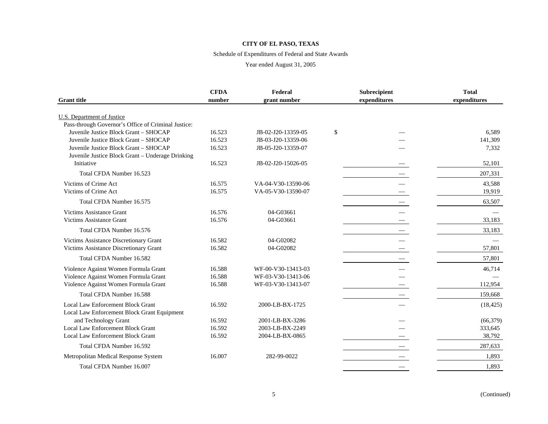#### Schedule of Expenditures of Federal and State Awards

| <b>Grant</b> title                                  | <b>CFDA</b><br>number | Federal<br>grant number | Subrecipient<br>expenditures | <b>Total</b><br>expenditures |
|-----------------------------------------------------|-----------------------|-------------------------|------------------------------|------------------------------|
| <b>U.S. Department of Justice</b>                   |                       |                         |                              |                              |
| Pass-through Governor's Office of Criminal Justice: |                       |                         |                              |                              |
| Juvenile Justice Block Grant - SHOCAP               | 16.523                | JB-02-J20-13359-05      | \$                           | 6,589                        |
| Juvenile Justice Block Grant - SHOCAP               | 16.523                | JB-03-J20-13359-06      |                              | 141,309                      |
| Juvenile Justice Block Grant - SHOCAP               | 16.523                | JB-05-J20-13359-07      |                              | 7,332                        |
| Juvenile Justice Block Grant - Underage Drinking    |                       |                         |                              |                              |
| Initiative                                          | 16.523                | JB-02-J20-15026-05      |                              | 52,101                       |
| Total CFDA Number 16.523                            |                       |                         |                              | 207,331                      |
| Victims of Crime Act                                | 16.575                | VA-04-V30-13590-06      |                              | 43,588                       |
| Victims of Crime Act                                | 16.575                | VA-05-V30-13590-07      |                              | 19,919                       |
| Total CFDA Number 16.575                            |                       |                         |                              | 63,507                       |
| <b>Victims Assistance Grant</b>                     | 16.576                | 04-G03661               |                              |                              |
| <b>Victims Assistance Grant</b>                     | 16.576                | 04-G03661               |                              | 33,183                       |
| Total CFDA Number 16.576                            |                       |                         |                              | 33,183                       |
| Victims Assistance Discretionary Grant              | 16.582                | 04-G02082               |                              |                              |
| Victims Assistance Discretionary Grant              | 16.582                | 04-G02082               |                              | 57,801                       |
| Total CFDA Number 16.582                            |                       |                         |                              | 57,801                       |
| Violence Against Women Formula Grant                | 16.588                | WF-00-V30-13413-03      |                              | 46,714                       |
| Violence Against Women Formula Grant                | 16.588                | WF-03-V30-13413-06      |                              |                              |
| Violence Against Women Formula Grant                | 16.588                | WF-03-V30-13413-07      |                              | 112,954                      |
| Total CFDA Number 16.588                            |                       |                         |                              | 159,668                      |
| <b>Local Law Enforcement Block Grant</b>            | 16.592                | 2000-LB-BX-1725         |                              | (18, 425)                    |
| Local Law Enforcement Block Grant Equipment         |                       |                         |                              |                              |
| and Technology Grant                                | 16.592                | 2001-LB-BX-3286         |                              | (66, 379)                    |
| <b>Local Law Enforcement Block Grant</b>            | 16.592                | 2003-LB-BX-2249         |                              | 333,645                      |
| <b>Local Law Enforcement Block Grant</b>            | 16.592                | 2004-LB-BX-0865         |                              | 38,792                       |
| Total CFDA Number 16.592                            |                       |                         |                              | 287,633                      |
| Metropolitan Medical Response System                | 16.007                | 282-99-0022             |                              | 1,893                        |
| Total CFDA Number 16.007                            |                       |                         |                              | 1,893                        |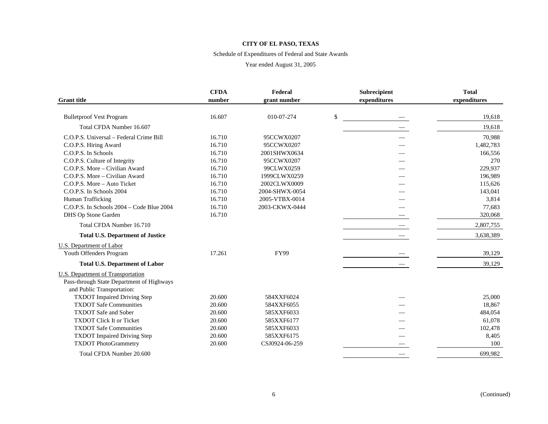#### Schedule of Expenditures of Federal and State Awards

|                                           | <b>CFDA</b><br>Federal |                | Subrecipient |              | <b>Total</b> |
|-------------------------------------------|------------------------|----------------|--------------|--------------|--------------|
| <b>Grant</b> title                        | number                 | grant number   |              | expenditures | expenditures |
|                                           |                        |                |              |              |              |
| <b>Bulletproof Vest Program</b>           | 16.607                 | 010-07-274     | \$           |              | 19,618       |
| Total CFDA Number 16.607                  |                        |                |              |              | 19,618       |
| C.O.P.S. Universal – Federal Crime Bill   | 16.710                 | 95CCWX0207     |              |              | 70,988       |
| C.O.P.S. Hiring Award                     | 16.710                 | 95CCWX0207     |              |              | 1,482,783    |
| C.O.P.S. In Schools                       | 16.710                 | 2001SHWX0634   |              |              | 166,556      |
| C.O.P.S. Culture of Integrity             | 16.710                 | 95CCWX0207     |              |              | 270          |
| C.O.P.S. More - Civilian Award            | 16.710                 | 99CLWX0259     |              |              | 229,937      |
| C.O.P.S. More - Civilian Award            | 16.710                 | 1999CLWX0259   |              |              | 196,989      |
| C.O.P.S. More - Auto Ticket               | 16.710                 | 2002CLWX0009   |              |              | 115,626      |
| C.O.P.S. In Schools 2004                  | 16.710                 | 2004-SHWX-0054 |              |              | 143,041      |
| Human Trafficking                         | 16.710                 | 2005-VTBX-0014 |              |              | 3,814        |
| C.O.P.S. In Schools 2004 - Code Blue 2004 | 16.710                 | 2003-CKWX-0444 |              |              | 77,683       |
| DHS Op Stone Garden                       | 16.710                 |                |              |              | 320,068      |
| Total CFDA Number 16.710                  |                        |                |              |              | 2,807,755    |
| <b>Total U.S. Department of Justice</b>   |                        |                |              |              | 3,638,389    |
| <b>U.S. Department of Labor</b>           |                        |                |              |              |              |
| Youth Offenders Program                   | 17.261                 | <b>FY99</b>    |              |              | 39,129       |
| <b>Total U.S. Department of Labor</b>     |                        |                |              |              | 39,129       |
| U.S. Department of Transportation         |                        |                |              |              |              |
| Pass-through State Department of Highways |                        |                |              |              |              |
| and Public Transportation:                |                        |                |              |              |              |
| <b>TXDOT</b> Impaired Driving Step        | 20.600                 | 584XXF6024     |              |              | 25,000       |
| <b>TXDOT Safe Communities</b>             | 20.600                 | 584XXF6055     |              |              | 18,867       |
| <b>TXDOT</b> Safe and Sober               | 20.600                 | 585XXF6033     |              |              | 484,054      |
| <b>TXDOT Click It or Ticket</b>           | 20.600                 | 585XXF6177     |              |              | 61,078       |
| <b>TXDOT Safe Communities</b>             | 20.600                 | 585XXF6033     |              |              | 102,478      |
| <b>TXDOT</b> Impaired Driving Step        | 20.600                 | 585XXF6175     |              |              | 8,405        |
| <b>TXDOT</b> PhotoGrammetry               | 20.600                 | CSJ0924-06-259 |              |              | 100          |
| Total CFDA Number 20.600                  |                        |                |              |              | 699,982      |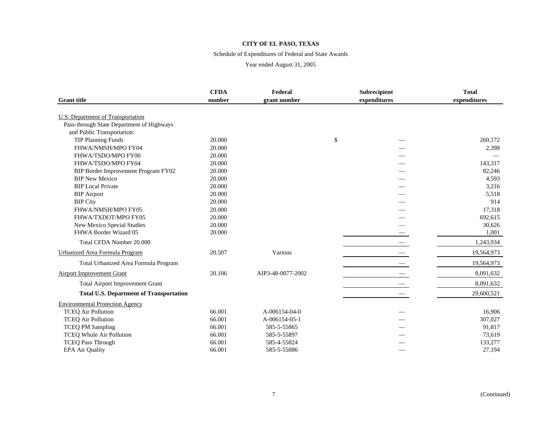#### Schedule of Expenditures of Federal and State Awards

|                                                                         | <b>CFDA</b> | Federal           | Subrecipient | <b>Total</b> |
|-------------------------------------------------------------------------|-------------|-------------------|--------------|--------------|
| <b>Grant title</b>                                                      | number      | grant number      | expenditures | expenditures |
| <b>U.S. Department of Transportation</b>                                |             |                   |              |              |
| Pass-through State Department of Highways<br>and Public Transportation: |             |                   |              |              |
| <b>TIP Planning Funds</b>                                               | 20.000      |                   | \$           | 260,172      |
| FHWA/NMSH/MPO FY04                                                      | 20.000      |                   |              | 2,398        |
| FHWA/TSDO/MPO FY00                                                      | 20.000      |                   |              |              |
| FHWA/TSDO/MPO FY04                                                      | 20.000      |                   |              | 143,317      |
| BIP Border Improvement Program FY02                                     | 20.000      |                   |              | 82,246       |
| <b>BIP New Mexico</b>                                                   | 20.000      |                   |              | 4,593        |
| <b>BIP</b> Local Private                                                | 20.000      |                   |              | 3,216        |
| <b>BIP</b> Airport                                                      | 20.000      |                   |              | 5,518        |
| <b>BIP City</b>                                                         | 20.000      |                   |              | 914          |
| FHWA/NMSH/MPO FY05                                                      | 20.000      |                   |              | 17,318       |
| FHWA/TXDOT/MPO FY05                                                     | 20.000      |                   |              | 692,615      |
| New Mexico Special Studies                                              | 20.000      |                   |              | 30,626       |
| FHWA Border Wizard 05                                                   | 20.000      |                   |              | 1,001        |
| Total CFDA Number 20.000                                                |             |                   |              | 1,243,934    |
| Urbanized Area Formula Program                                          | 20.507      | Various           |              | 19,564,973   |
| Total Urbanized Area Formula Program                                    |             |                   |              | 19,564,973   |
| Airport Improvement Grant                                               | 20.106      | AIP3-48-0077-2002 |              | 8,091,632    |
| <b>Total Airport Improvement Grant</b>                                  |             |                   |              | 8,091,632    |
| <b>Total U.S. Department of Transportation</b>                          |             |                   |              | 29,600,521   |
| <b>Environmental Protection Agency</b>                                  |             |                   |              |              |
| <b>TCEQ Air Pollution</b>                                               | 66.001      | A-006154-04-0     |              | 16,906       |
| <b>TCEQ Air Pollution</b>                                               | 66.001      | A-006154-05-1     |              | 307,027      |
| <b>TCEQ PM Sampling</b>                                                 | 66.001      | 585-5-55865       |              | 91,817       |
| <b>TCEQ Whole Air Pollution</b>                                         | 66.001      | 585-5-55897       |              | 73,619       |
| <b>TCEQ Pass Through</b>                                                | 66.001      | 585-4-55824       |              | 133,277      |
| <b>EPA Air Quality</b>                                                  | 66.001      | 585-5-55886       |              | 27,194       |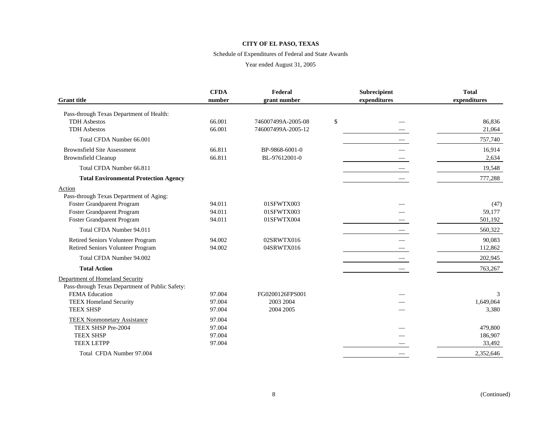#### Schedule of Expenditures of Federal and State Awards

|                                                 | <b>CFDA</b> | Federal            | Subrecipient | <b>Total</b> |
|-------------------------------------------------|-------------|--------------------|--------------|--------------|
| <b>Grant</b> title                              | number      | grant number       | expenditures | expenditures |
| Pass-through Texas Department of Health:        |             |                    |              |              |
| <b>TDH</b> Asbestos                             | 66.001      | 746007499A-2005-08 | \$           | 86,836       |
| <b>TDH</b> Asbestos                             | 66.001      | 746007499A-2005-12 |              | 21,064       |
| Total CFDA Number 66,001                        |             |                    |              | 757,740      |
| <b>Brownsfield Site Assessment</b>              | 66.811      | BP-9868-6001-0     |              | 16,914       |
| <b>Brownsfield Cleanup</b>                      | 66.811      | BL-97612001-0      |              | 2,634        |
| Total CFDA Number 66.811                        |             |                    |              | 19,548       |
| <b>Total Environmental Protection Agency</b>    |             |                    |              | 777,288      |
| Action                                          |             |                    |              |              |
| Pass-through Texas Department of Aging:         |             |                    |              |              |
| Foster Grandparent Program                      | 94.011      | 01SFWTX003         |              | (47)         |
| Foster Grandparent Program                      | 94.011      | 01SFWTX003         |              | 59,177       |
| <b>Foster Grandparent Program</b>               | 94.011      | 01SFWTX004         |              | 501,192      |
| Total CFDA Number 94.011                        |             |                    |              | 560,322      |
| Retired Seniors Volunteer Program               | 94.002      | 02SRWTX016         |              | 90,083       |
| Retired Seniors Volunteer Program               | 94.002      | 04SRWTX016         |              | 112,862      |
| Total CFDA Number 94.002                        |             |                    |              | 202,945      |
| <b>Total Action</b>                             |             |                    |              | 763,267      |
| Department of Homeland Security                 |             |                    |              |              |
| Pass-through Texas Department of Public Safety: |             |                    |              |              |
| FEMA Education                                  | 97.004      | FG0200126FPS001    |              | 3            |
| <b>TEEX Homeland Security</b>                   | 97.004      | 2003 2004          |              | 1,649,064    |
| <b>TEEX SHSP</b>                                | 97.004      | 2004 2005          |              | 3,380        |
| <b>TEEX Nonmonetary Assistance</b>              | 97.004      |                    |              |              |
| TEEX SHSP Pre-2004                              | 97.004      |                    |              | 479,800      |
| <b>TEEX SHSP</b>                                | 97.004      |                    |              | 186,907      |
| <b>TEEX LETPP</b>                               | 97.004      |                    |              | 33,492       |
| Total CFDA Number 97.004                        |             |                    |              | 2,352,646    |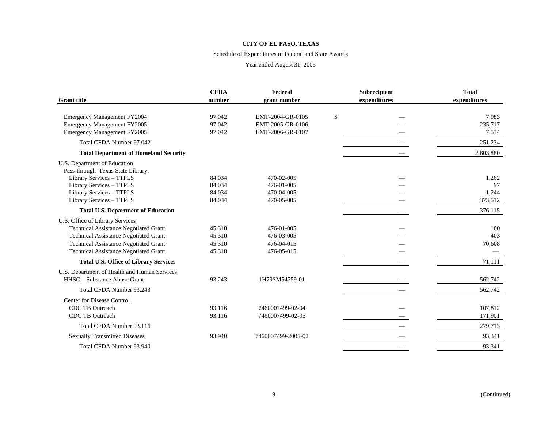#### Schedule of Expenditures of Federal and State Awards

|                                              | <b>CFDA</b> | Federal            | Subrecipient | <b>Total</b> |
|----------------------------------------------|-------------|--------------------|--------------|--------------|
| <b>Grant</b> title                           | number      | grant number       | expenditures | expenditures |
|                                              |             |                    |              |              |
| Emergency Management FY2004                  | 97.042      | EMT-2004-GR-0105   | \$           | 7,983        |
| <b>Emergency Management FY2005</b>           | 97.042      | EMT-2005-GR-0106   |              | 235,717      |
| <b>Emergency Management FY2005</b>           | 97.042      | EMT-2006-GR-0107   |              | 7,534        |
| Total CFDA Number 97.042                     |             |                    |              | 251,234      |
| <b>Total Department of Homeland Security</b> |             |                    |              | 2,603,880    |
| U.S. Department of Education                 |             |                    |              |              |
| Pass-through Texas State Library:            |             |                    |              |              |
| Library Services - TTPLS                     | 84.034      | 470-02-005         |              | 1,262        |
| Library Services - TTPLS                     | 84.034      | 476-01-005         |              | 97           |
| Library Services - TTPLS                     | 84.034      | 470-04-005         |              | 1,244        |
| Library Services - TTPLS                     | 84.034      | 470-05-005         |              | 373,512      |
| <b>Total U.S. Department of Education</b>    |             |                    |              | 376,115      |
| <b>U.S. Office of Library Services</b>       |             |                    |              |              |
| <b>Technical Assistance Negotiated Grant</b> | 45.310      | 476-01-005         |              | 100          |
| <b>Technical Assistance Negotiated Grant</b> | 45.310      | 476-03-005         |              | 403          |
| <b>Technical Assistance Negotiated Grant</b> | 45.310      | 476-04-015         |              | 70,608       |
| <b>Technical Assistance Negotiated Grant</b> | 45.310      | 476-05-015         |              |              |
| <b>Total U.S. Office of Library Services</b> |             |                    |              | 71,111       |
| U.S. Department of Health and Human Services |             |                    |              |              |
| HHSC - Substance Abuse Grant                 | 93.243      | 1H79SM54759-01     |              | 562,742      |
| Total CFDA Number 93.243                     |             |                    |              | 562,742      |
| Center for Disease Control                   |             |                    |              |              |
| <b>CDC TB Outreach</b>                       | 93.116      | 7460007499-02-04   |              | 107,812      |
| <b>CDC TB Outreach</b>                       | 93.116      | 7460007499-02-05   |              | 171,901      |
| Total CFDA Number 93.116                     |             |                    |              | 279,713      |
| <b>Sexually Transmitted Diseases</b>         | 93.940      | 7460007499-2005-02 |              | 93,341       |
| Total CFDA Number 93.940                     |             |                    |              | 93,341       |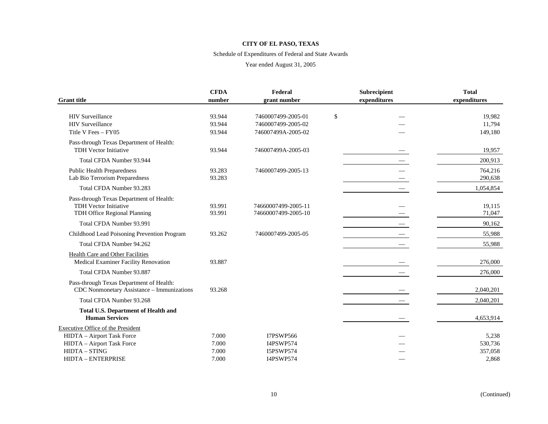#### Schedule of Expenditures of Federal and State Awards

|                                                                     | <b>CFDA</b> | Federal             |              | Subrecipient | <b>Total</b> |
|---------------------------------------------------------------------|-------------|---------------------|--------------|--------------|--------------|
| <b>Grant</b> title                                                  | number      | grant number        | expenditures |              | expenditures |
|                                                                     |             |                     |              |              |              |
| <b>HIV</b> Surveillance                                             | 93.944      | 7460007499-2005-01  | \$           |              | 19,982       |
| <b>HIV Surveillance</b>                                             | 93.944      | 7460007499-2005-02  |              |              | 11,794       |
| Title V Fees - FY05                                                 | 93.944      | 746007499A-2005-02  |              |              | 149,180      |
| Pass-through Texas Department of Health:                            |             |                     |              |              |              |
| <b>TDH Vector Initiative</b>                                        | 93.944      | 746007499A-2005-03  |              |              | 19,957       |
| Total CFDA Number 93.944                                            |             |                     |              |              | 200,913      |
| <b>Public Health Preparedness</b>                                   | 93.283      | 7460007499-2005-13  |              |              | 764,216      |
| Lab Bio Terrorism Preparedness                                      | 93.283      |                     |              |              | 290,638      |
| Total CFDA Number 93.283                                            |             |                     |              |              | 1,054,854    |
| Pass-through Texas Department of Health:                            |             |                     |              |              |              |
| <b>TDH Vector Initiative</b>                                        | 93.991      | 74660007499-2005-11 |              |              | 19,115       |
| TDH Office Regional Planning                                        | 93.991      | 74660007499-2005-10 |              |              | 71,047       |
| Total CFDA Number 93.991                                            |             |                     |              |              | 90,162       |
| Childhood Lead Poisoning Prevention Program                         | 93.262      | 7460007499-2005-05  |              |              | 55,988       |
| Total CFDA Number 94.262                                            |             |                     |              |              | 55,988       |
| <b>Health Care and Other Facilities</b>                             |             |                     |              |              |              |
| Medical Examiner Facility Renovation                                | 93.887      |                     |              |              | 276,000      |
| Total CFDA Number 93.887                                            |             |                     |              |              | 276,000      |
| Pass-through Texas Department of Health:                            |             |                     |              |              |              |
| CDC Nonmonetary Assistance - Immunizations                          | 93.268      |                     |              |              | 2,040,201    |
| Total CFDA Number 93.268                                            |             |                     |              |              | 2,040,201    |
| <b>Total U.S. Department of Health and</b><br><b>Human Services</b> |             |                     |              |              | 4,653,914    |
| <b>Executive Office of the President</b>                            |             |                     |              |              |              |
| HIDTA - Airport Task Force                                          | 7.000       | <b>I7PSWP566</b>    |              |              | 5,238        |
| HIDTA - Airport Task Force                                          | 7.000       | I4PSWP574           |              |              | 530,736      |
| HIDTA - STING                                                       | 7.000       | I5PSWP574           |              |              | 357,058      |
| HIDTA - ENTERPRISE                                                  | 7.000       | I4PSWP574           |              |              | 2,868        |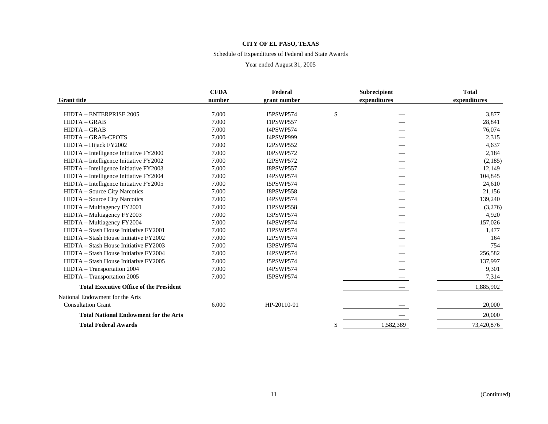#### Schedule of Expenditures of Federal and State Awards

|                                                | <b>CFDA</b> | Federal          | <b>Subrecipient</b> | <b>Total</b> |
|------------------------------------------------|-------------|------------------|---------------------|--------------|
| <b>Grant</b> title                             | number      | grant number     | expenditures        | expenditures |
| HIDTA - ENTERPRISE 2005                        | 7.000       | <b>I5PSWP574</b> | \$                  | 3,877        |
| <b>HIDTA - GRAB</b>                            | 7.000       | <b>I1PSWP557</b> |                     | 28,841       |
| <b>HIDTA - GRAB</b>                            | 7.000       | I4PSWP574        |                     | 76,074       |
| <b>HIDTA - GRAB-CPOTS</b>                      | 7.000       | I4PSWP999        |                     | 2,315        |
| HIDTA - Hijack FY2002                          | 7.000       | <b>I2PSWP552</b> |                     | 4,637        |
| HIDTA - Intelligence Initiative FY2000         | 7.000       | <b>I0PSWP572</b> |                     | 2,184        |
| HIDTA - Intelligence Initiative FY2002         | 7.000       | <b>I2PSWP572</b> |                     | (2,185)      |
| HIDTA - Intelligence Initiative FY2003         | 7.000       | <b>I8PSWP557</b> |                     | 12,149       |
| HIDTA - Intelligence Initiative FY2004         | 7.000       | I4PSWP574        |                     | 104,845      |
| HIDTA - Intelligence Initiative FY2005         | 7.000       | I5PSWP574        |                     | 24,610       |
| <b>HIDTA</b> – Source City Narcotics           | 7.000       | <b>I8PSWP558</b> |                     | 21,156       |
| HIDTA - Source City Narcotics                  | 7.000       | I4PSWP574        |                     | 139,240      |
| HIDTA - Multiagency FY2001                     | 7.000       | <b>I1PSWP558</b> |                     | (3,276)      |
| HIDTA – Multiagency FY2003                     | 7.000       | I3PSWP574        |                     | 4,920        |
| HIDTA - Multiagency FY2004                     | 7.000       | I4PSWP574        |                     | 157,026      |
| HIDTA – Stash House Initiative FY2001          | 7.000       | <b>I1PSWP574</b> |                     | 1,477        |
| HIDTA – Stash House Initiative FY2002          | 7.000       | <b>I2PSWP574</b> |                     | 164          |
| HIDTA – Stash House Initiative FY2003          | 7.000       | I3PSWP574        |                     | 754          |
| HIDTA – Stash House Initiative FY2004          | 7.000       | I4PSWP574        |                     | 256,582      |
| HIDTA – Stash House Initiative FY2005          | 7.000       | <b>I5PSWP574</b> |                     | 137,997      |
| HIDTA - Transportation 2004                    | 7.000       | I4PSWP574        |                     | 9,301        |
| HIDTA - Transportation 2005                    | 7.000       | <b>I5PSWP574</b> |                     | 7,314        |
| <b>Total Executive Office of the President</b> |             |                  |                     | 1,885,902    |
| National Endowment for the Arts                |             |                  |                     |              |
| <b>Consultation Grant</b>                      | 6.000       | HP-20110-01      |                     | 20,000       |
| <b>Total National Endowment for the Arts</b>   |             |                  |                     | 20,000       |
| <b>Total Federal Awards</b>                    |             |                  | \$<br>1,582,389     | 73,420,876   |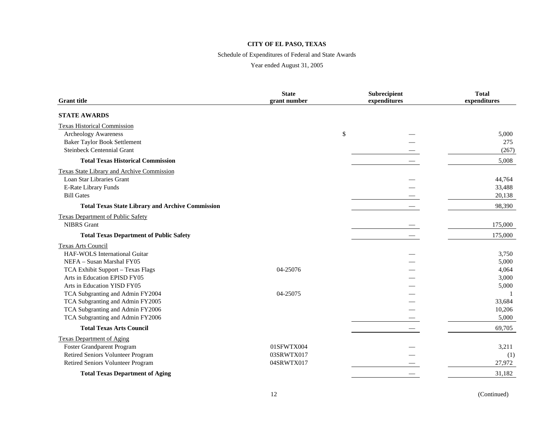#### Schedule of Expenditures of Federal and State Awards

| <b>Grant title</b>                                      | <b>State</b><br>grant number |      | Subrecipient<br>expenditures | <b>Total</b><br>expenditures |
|---------------------------------------------------------|------------------------------|------|------------------------------|------------------------------|
| <b>STATE AWARDS</b>                                     |                              |      |                              |                              |
| <b>Texas Historical Commission</b>                      |                              |      |                              |                              |
| <b>Archeology Awareness</b>                             |                              | $\$$ |                              | 5,000                        |
| <b>Baker Taylor Book Settlement</b>                     |                              |      |                              | 275                          |
| <b>Steinbeck Centennial Grant</b>                       |                              |      |                              | (267)                        |
| <b>Total Texas Historical Commission</b>                |                              |      |                              | 5,008                        |
| <b>Texas State Library and Archive Commission</b>       |                              |      |                              |                              |
| Loan Star Libraries Grant                               |                              |      |                              | 44,764                       |
| E-Rate Library Funds                                    |                              |      |                              | 33,488                       |
| <b>Bill Gates</b>                                       |                              |      |                              | 20,138                       |
| <b>Total Texas State Library and Archive Commission</b> |                              |      |                              | 98,390                       |
| <b>Texas Department of Public Safety</b>                |                              |      |                              |                              |
| <b>NIBRS</b> Grant                                      |                              |      |                              | 175,000                      |
| <b>Total Texas Department of Public Safety</b>          |                              |      |                              | 175,000                      |
| <b>Texas Arts Council</b>                               |                              |      |                              |                              |
| HAF-WOLS International Guitar                           |                              |      |                              | 3,750                        |
| NEFA - Susan Marshal FY05                               |                              |      |                              | 5,000                        |
| TCA Exhibit Support - Texas Flags                       | 04-25076                     |      |                              | 4,064                        |
| Arts in Education EPISD FY05                            |                              |      |                              | 3,000                        |
| Arts in Education YISD FY05                             |                              |      |                              | 5,000                        |
| TCA Subgranting and Admin FY2004                        | 04-25075                     |      |                              |                              |
| TCA Subgranting and Admin FY2005                        |                              |      |                              | 33,684                       |
| TCA Subgranting and Admin FY2006                        |                              |      |                              | 10,206                       |
| TCA Subgranting and Admin FY2006                        |                              |      |                              | 5,000                        |
| <b>Total Texas Arts Council</b>                         |                              |      |                              | 69,705                       |
| <b>Texas Department of Aging</b>                        |                              |      |                              |                              |
| Foster Grandparent Program                              | 01SFWTX004                   |      |                              | 3,211                        |
| Retired Seniors Volunteer Program                       | 03SRWTX017                   |      |                              | (1)                          |
| Retired Seniors Volunteer Program                       | 04SRWTX017                   |      |                              | 27,972                       |
| <b>Total Texas Department of Aging</b>                  |                              |      |                              | 31,182                       |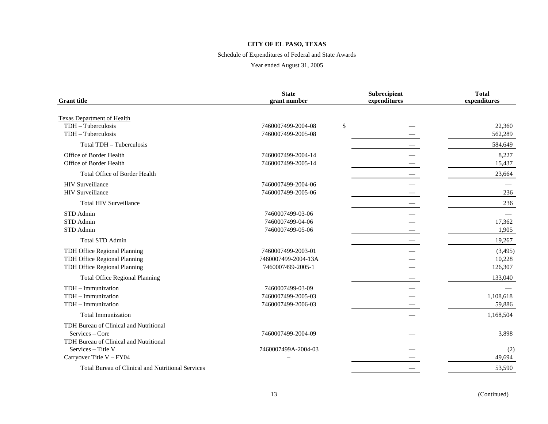#### Schedule of Expenditures of Federal and State Awards

| <b>Grant</b> title                                | <b>State</b><br>grant number | Subrecipient<br>expenditures | <b>Total</b><br>expenditures |
|---------------------------------------------------|------------------------------|------------------------------|------------------------------|
| <b>Texas Department of Health</b>                 |                              |                              |                              |
| TDH - Tuberculosis                                | 7460007499-2004-08           | \$                           | 22,360                       |
| TDH - Tuberculosis                                | 7460007499-2005-08           |                              | 562,289                      |
| Total TDH - Tuberculosis                          |                              |                              | 584,649                      |
| Office of Border Health                           | 7460007499-2004-14           |                              | 8,227                        |
| Office of Border Health                           | 7460007499-2005-14           |                              | 15,437                       |
| <b>Total Office of Border Health</b>              |                              |                              | 23,664                       |
| <b>HIV</b> Surveillance                           | 7460007499-2004-06           |                              |                              |
| <b>HIV</b> Surveillance                           | 7460007499-2005-06           |                              | 236                          |
| <b>Total HIV Surveillance</b>                     |                              |                              | 236                          |
| STD Admin                                         | 7460007499-03-06             |                              |                              |
| STD Admin                                         | 7460007499-04-06             |                              | 17,362                       |
| STD Admin                                         | 7460007499-05-06             |                              | 1,905                        |
| Total STD Admin                                   |                              |                              | 19,267                       |
| TDH Office Regional Planning                      | 7460007499-2003-01           |                              | (3,495)                      |
| TDH Office Regional Planning                      | 7460007499-2004-13A          |                              | 10,228                       |
| TDH Office Regional Planning                      | 7460007499-2005-1            |                              | 126,307                      |
| <b>Total Office Regional Planning</b>             |                              |                              | 133,040                      |
| TDH - Immunization                                | 7460007499-03-09             |                              |                              |
| TDH - Immunization                                | 7460007499-2005-03           |                              | 1,108,618                    |
| $TDH - Immunization$                              | 7460007499-2006-03           |                              | 59,886                       |
| <b>Total Immunization</b>                         |                              |                              | 1,168,504                    |
| TDH Bureau of Clinical and Nutritional            |                              |                              |                              |
| Services – Core                                   | 7460007499-2004-09           |                              | 3,898                        |
| TDH Bureau of Clinical and Nutritional            |                              |                              |                              |
| Services - Title V                                | 7460007499A-2004-03          |                              | (2)                          |
| Carryover Title V - FY04                          |                              |                              | 49,694                       |
| Total Bureau of Clinical and Nutritional Services |                              |                              | 53,590                       |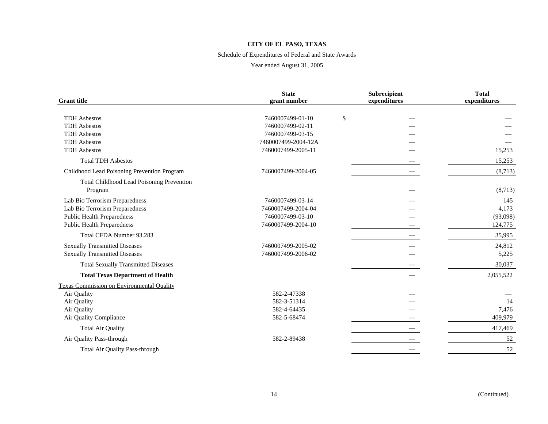#### Schedule of Expenditures of Federal and State Awards

| <b>Grant</b> title                                   | <b>State</b><br>grant number | Subrecipient<br>expenditures | <b>Total</b><br>expenditures |
|------------------------------------------------------|------------------------------|------------------------------|------------------------------|
| <b>TDH</b> Asbestos                                  | 7460007499-01-10             | \$                           |                              |
| <b>TDH</b> Asbestos                                  | 7460007499-02-11             |                              |                              |
| <b>TDH</b> Asbestos                                  | 7460007499-03-15             |                              |                              |
| <b>TDH</b> Asbestos                                  | 7460007499-2004-12A          |                              |                              |
| <b>TDH</b> Asbestos                                  | 7460007499-2005-11           |                              | 15,253                       |
| <b>Total TDH Asbestos</b>                            |                              |                              | 15,253                       |
| Childhood Lead Poisoning Prevention Program          | 7460007499-2004-05           |                              | (8,713)                      |
| Total Childhood Lead Poisoning Prevention<br>Program |                              |                              | (8,713)                      |
| Lab Bio Terrorism Preparedness                       | 7460007499-03-14             |                              | 145                          |
| Lab Bio Terrorism Preparedness                       | 7460007499-2004-04           |                              | 4,173                        |
| <b>Public Health Preparedness</b>                    | 7460007499-03-10             |                              | (93,098)                     |
| <b>Public Health Preparedness</b>                    | 7460007499-2004-10           |                              | 124,775                      |
| Total CFDA Number 93.283                             |                              |                              | 35,995                       |
| <b>Sexually Transmitted Diseases</b>                 | 7460007499-2005-02           |                              | 24,812                       |
| <b>Sexually Transmitted Diseases</b>                 | 7460007499-2006-02           |                              | 5,225                        |
| <b>Total Sexually Transmitted Diseases</b>           |                              |                              | 30,037                       |
| <b>Total Texas Department of Health</b>              |                              |                              | 2,055,522                    |
| Texas Commission on Environmental Quality            |                              |                              |                              |
| Air Quality                                          | 582-2-47338                  |                              |                              |
| Air Quality                                          | 582-3-51314                  |                              | 14                           |
| Air Quality                                          | 582-4-64435                  |                              | 7,476                        |
| Air Quality Compliance                               | 582-5-68474                  |                              | 409,979                      |
| <b>Total Air Quality</b>                             |                              |                              | 417,469                      |
| Air Quality Pass-through                             | 582-2-89438                  |                              | 52                           |
| Total Air Quality Pass-through                       |                              |                              | 52                           |
|                                                      |                              |                              |                              |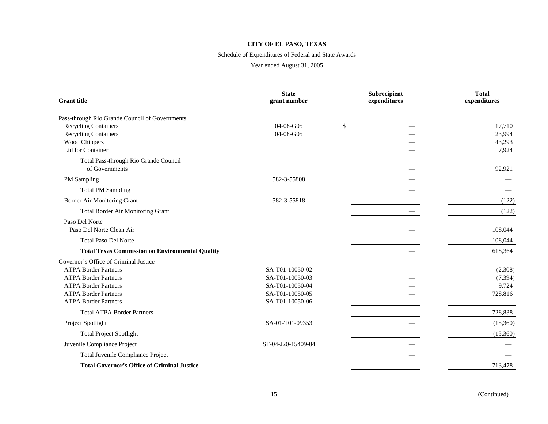#### Schedule of Expenditures of Federal and State Awards

| <b>Grant</b> title                                      | <b>State</b><br>grant number | Subrecipient<br>expenditures | <b>Total</b><br>expenditures |
|---------------------------------------------------------|------------------------------|------------------------------|------------------------------|
| Pass-through Rio Grande Council of Governments          |                              |                              |                              |
| <b>Recycling Containers</b>                             | 04-08-G05                    | \$                           | 17,710                       |
| <b>Recycling Containers</b>                             | 04-08-G05                    |                              | 23,994                       |
| Wood Chippers                                           |                              |                              | 43,293                       |
| Lid for Container                                       |                              |                              | 7,924                        |
| Total Pass-through Rio Grande Council<br>of Governments |                              |                              | 92,921                       |
| PM Sampling                                             | 582-3-55808                  |                              |                              |
| <b>Total PM Sampling</b>                                |                              |                              |                              |
| Border Air Monitoring Grant                             | 582-3-55818                  |                              | (122)                        |
| Total Border Air Monitoring Grant                       |                              |                              | (122)                        |
| Paso Del Norte                                          |                              |                              |                              |
| Paso Del Norte Clean Air                                |                              |                              | 108.044                      |
| <b>Total Paso Del Norte</b>                             |                              |                              | 108,044                      |
| <b>Total Texas Commission on Environmental Quality</b>  |                              |                              | 618,364                      |
| Governor's Office of Criminal Justice                   |                              |                              |                              |
| <b>ATPA Border Partners</b>                             | SA-T01-10050-02              |                              | (2,308)                      |
| <b>ATPA Border Partners</b>                             | SA-T01-10050-03              |                              | (7, 394)                     |
| <b>ATPA Border Partners</b>                             | SA-T01-10050-04              |                              | 9,724                        |
| <b>ATPA Border Partners</b>                             | SA-T01-10050-05              |                              | 728,816                      |
| <b>ATPA Border Partners</b>                             | SA-T01-10050-06              |                              |                              |
| <b>Total ATPA Border Partners</b>                       |                              |                              | 728,838                      |
| Project Spotlight                                       | SA-01-T01-09353              |                              | (15,360)                     |
| <b>Total Project Spotlight</b>                          |                              |                              | (15,360)                     |
| Juvenile Compliance Project                             | SF-04-J20-15409-04           |                              |                              |
| Total Juvenile Compliance Project                       |                              |                              |                              |
| <b>Total Governor's Office of Criminal Justice</b>      |                              |                              | 713,478                      |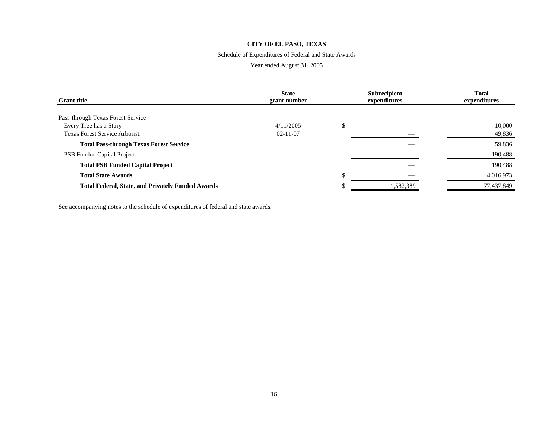#### Schedule of Expenditures of Federal and State Awards

#### Year ended August 31, 2005

| <b>Grant</b> title                                       | <b>State</b><br>grant number |   | <b>Subrecipient</b><br>expenditures | <b>Total</b><br>expenditures |
|----------------------------------------------------------|------------------------------|---|-------------------------------------|------------------------------|
| Pass-through Texas Forest Service                        |                              |   |                                     |                              |
| Every Tree has a Story                                   | 4/11/2005                    | Φ |                                     | 10,000                       |
| <b>Texas Forest Service Arborist</b>                     | $02 - 11 - 07$               |   |                                     | 49,836                       |
| <b>Total Pass-through Texas Forest Service</b>           |                              |   |                                     | 59,836                       |
| <b>PSB</b> Funded Capital Project                        |                              |   |                                     | 190,488                      |
| <b>Total PSB Funded Capital Project</b>                  |                              |   |                                     | 190,488                      |
| <b>Total State Awards</b>                                |                              |   |                                     | 4,016,973                    |
| <b>Total Federal, State, and Privately Funded Awards</b> |                              |   | 1,582,389                           | 77,437,849                   |

See accompanying notes to the schedule of expenditures of federal and state awards.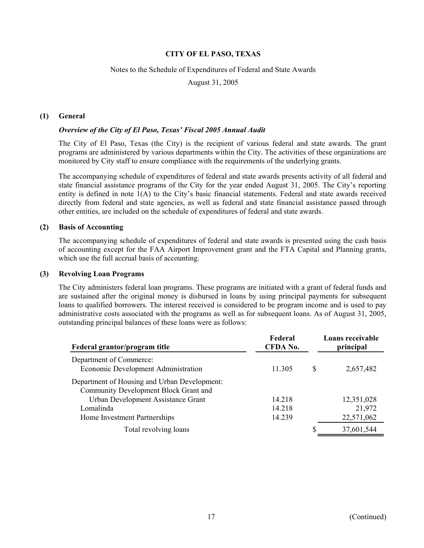#### Notes to the Schedule of Expenditures of Federal and State Awards

August 31, 2005

#### **(1) General**

#### *Overview of the City of El Paso, Texas' Fiscal 2005 Annual Audit*

The City of El Paso, Texas (the City) is the recipient of various federal and state awards. The grant programs are administered by various departments within the City. The activities of these organizations are monitored by City staff to ensure compliance with the requirements of the underlying grants.

The accompanying schedule of expenditures of federal and state awards presents activity of all federal and state financial assistance programs of the City for the year ended August 31, 2005. The City's reporting entity is defined in note 1(A) to the City's basic financial statements. Federal and state awards received directly from federal and state agencies, as well as federal and state financial assistance passed through other entities, are included on the schedule of expenditures of federal and state awards.

#### **(2) Basis of Accounting**

The accompanying schedule of expenditures of federal and state awards is presented using the cash basis of accounting except for the FAA Airport Improvement grant and the FTA Capital and Planning grants, which use the full accrual basis of accounting.

#### **(3) Revolving Loan Programs**

The City administers federal loan programs. These programs are initiated with a grant of federal funds and are sustained after the original money is disbursed in loans by using principal payments for subsequent loans to qualified borrowers. The interest received is considered to be program income and is used to pay administrative costs associated with the programs as well as for subsequent loans. As of August 31, 2005, outstanding principal balances of these loans were as follows:

| Federal grantor/program title                                                         | Federal<br>CFDA No. |   | Loans receivable<br>principal |
|---------------------------------------------------------------------------------------|---------------------|---|-------------------------------|
| Department of Commerce:<br>Economic Development Administration                        | 11.305              | S | 2,657,482                     |
| Department of Housing and Urban Development:<br>Community Development Block Grant and |                     |   |                               |
| Urban Development Assistance Grant                                                    | 14.218              |   | 12,351,028                    |
| Lomalinda                                                                             | 14.218              |   | 21,972                        |
| Home Investment Partnerships                                                          | 14.239              |   | 22,571,062                    |
| Total revolving loans                                                                 |                     |   | 37,601,544                    |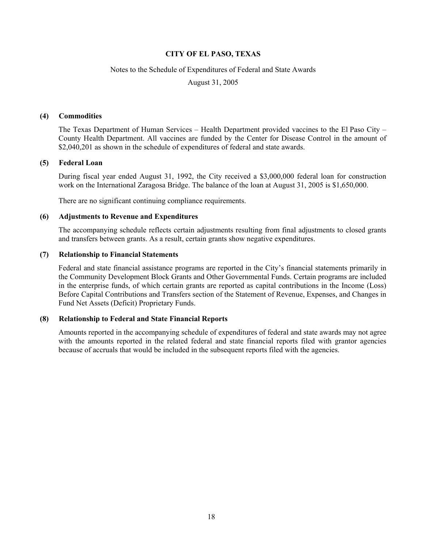#### Notes to the Schedule of Expenditures of Federal and State Awards

August 31, 2005

#### **(4) Commodities**

The Texas Department of Human Services – Health Department provided vaccines to the El Paso City – County Health Department. All vaccines are funded by the Center for Disease Control in the amount of \$2,040,201 as shown in the schedule of expenditures of federal and state awards.

#### **(5) Federal Loan**

During fiscal year ended August 31, 1992, the City received a \$3,000,000 federal loan for construction work on the International Zaragosa Bridge. The balance of the loan at August 31, 2005 is \$1,650,000.

There are no significant continuing compliance requirements.

#### **(6) Adjustments to Revenue and Expenditures**

The accompanying schedule reflects certain adjustments resulting from final adjustments to closed grants and transfers between grants. As a result, certain grants show negative expenditures.

#### **(7) Relationship to Financial Statements**

Federal and state financial assistance programs are reported in the City's financial statements primarily in the Community Development Block Grants and Other Governmental Funds. Certain programs are included in the enterprise funds, of which certain grants are reported as capital contributions in the Income (Loss) Before Capital Contributions and Transfers section of the Statement of Revenue, Expenses, and Changes in Fund Net Assets (Deficit) Proprietary Funds.

#### **(8) Relationship to Federal and State Financial Reports**

Amounts reported in the accompanying schedule of expenditures of federal and state awards may not agree with the amounts reported in the related federal and state financial reports filed with grantor agencies because of accruals that would be included in the subsequent reports filed with the agencies.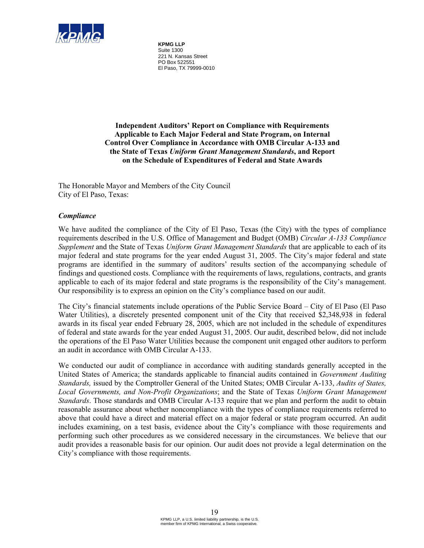

**KPMG LLP** Suite 1300 221 N. Kansas Street PO Box 522551 El Paso, TX 79999-0010

**Independent Auditors' Report on Compliance with Requirements Applicable to Each Major Federal and State Program, on Internal Control Over Compliance in Accordance with OMB Circular A-133 and the State of Texas** *Uniform Grant Management Standards***, and Report on the Schedule of Expenditures of Federal and State Awards** 

The Honorable Mayor and Members of the City Council City of El Paso, Texas:

#### *Compliance*

We have audited the compliance of the City of El Paso, Texas (the City) with the types of compliance requirements described in the U.S. Office of Management and Budget (OMB) *Circular A-133 Compliance Supplement* and the State of Texas *Uniform Grant Management Standards* that are applicable to each of its major federal and state programs for the year ended August 31, 2005. The City's major federal and state programs are identified in the summary of auditors' results section of the accompanying schedule of findings and questioned costs. Compliance with the requirements of laws, regulations, contracts, and grants applicable to each of its major federal and state programs is the responsibility of the City's management. Our responsibility is to express an opinion on the City's compliance based on our audit.

The City's financial statements include operations of the Public Service Board – City of El Paso (El Paso Water Utilities), a discretely presented component unit of the City that received \$2,348,938 in federal awards in its fiscal year ended February 28, 2005, which are not included in the schedule of expenditures of federal and state awards for the year ended August 31, 2005. Our audit, described below, did not include the operations of the El Paso Water Utilities because the component unit engaged other auditors to perform an audit in accordance with OMB Circular A-133.

We conducted our audit of compliance in accordance with auditing standards generally accepted in the United States of America; the standards applicable to financial audits contained in *Government Auditing Standards,* issued by the Comptroller General of the United States; OMB Circular A-133, *Audits of States, Local Governments, and Non-Profit Organizations*; and the State of Texas *Uniform Grant Management Standards*. Those standards and OMB Circular A-133 require that we plan and perform the audit to obtain reasonable assurance about whether noncompliance with the types of compliance requirements referred to above that could have a direct and material effect on a major federal or state program occurred. An audit includes examining, on a test basis, evidence about the City's compliance with those requirements and performing such other procedures as we considered necessary in the circumstances. We believe that our audit provides a reasonable basis for our opinion. Our audit does not provide a legal determination on the City's compliance with those requirements.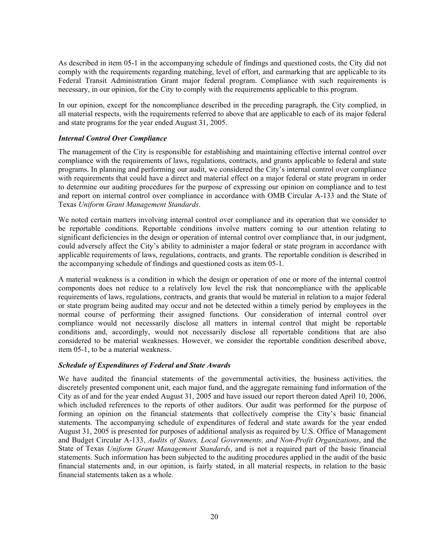As described in item 05-1 in the accompanying schedule of findings and questioned costs, the City did not comply with the requirements regarding matching, level of effort, and earmarking that are applicable to its Federal Transit Administration Grant major federal program. Compliance with such requirements is necessary, in our opinion, for the City to comply with the requirements applicable to this program.

In our opinion, except for the noncompliance described in the preceding paragraph, the City complied, in all material respects, with the requirements referred to above that are applicable to each of its major federal and state programs for the year ended August 31, 2005.

#### *Internal Control Over Compliance*

The management of the City is responsible for establishing and maintaining effective internal control over compliance with the requirements of laws, regulations, contracts, and grants applicable to federal and state programs. In planning and performing our audit, we considered the City's internal control over compliance with requirements that could have a direct and material effect on a major federal or state program in order to determine our auditing procedures for the purpose of expressing our opinion on compliance and to test and report on internal control over compliance in accordance with OMB Circular A-133 and the State of Texas *Uniform Grant Management Standards*.

We noted certain matters involving internal control over compliance and its operation that we consider to be reportable conditions. Reportable conditions involve matters coming to our attention relating to significant deficiencies in the design or operation of internal control over compliance that, in our judgment, could adversely affect the City's ability to administer a major federal or state program in accordance with applicable requirements of laws, regulations, contracts, and grants. The reportable condition is described in the accompanying schedule of findings and questioned costs as item 05-1.

A material weakness is a condition in which the design or operation of one or more of the internal control components does not reduce to a relatively low level the risk that noncompliance with the applicable requirements of laws, regulations, contracts, and grants that would be material in relation to a major federal or state program being audited may occur and not be detected within a timely period by employees in the normal course of performing their assigned functions. Our consideration of internal control over compliance would not necessarily disclose all matters in internal control that might be reportable conditions and, accordingly, would not necessarily disclose all reportable conditions that are also considered to be material weaknesses. However, we consider the reportable condition described above, item 05-1, to be a material weakness.

#### *Schedule of Expenditures of Federal and State Awards*

We have audited the financial statements of the governmental activities, the business activities, the discretely presented component unit, each major fund, and the aggregate remaining fund information of the City as of and for the year ended August 31, 2005 and have issued our report thereon dated April 10, 2006, which included references to the reports of other auditors. Our audit was performed for the purpose of forming an opinion on the financial statements that collectively comprise the City's basic financial statements. The accompanying schedule of expenditures of federal and state awards for the year ended August 31, 2005 is presented for purposes of additional analysis as required by U.S. Office of Management and Budget Circular A-133, *Audits of States, Local Governments, and Non-Profit Organizations*, and the State of Texas *Uniform Grant Management Standards*, and is not a required part of the basic financial statements. Such information has been subjected to the auditing procedures applied in the audit of the basic financial statements and, in our opinion, is fairly stated, in all material respects, in relation to the basic financial statements taken as a whole.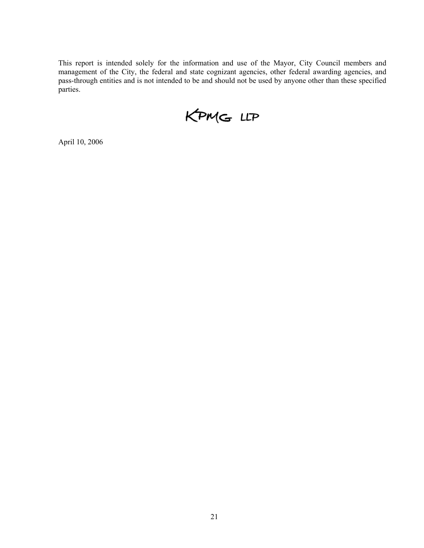This report is intended solely for the information and use of the Mayor, City Council members and management of the City, the federal and state cognizant agencies, other federal awarding agencies, and pass-through entities and is not intended to be and should not be used by anyone other than these specified parties.

KPMG LLP

April 10, 2006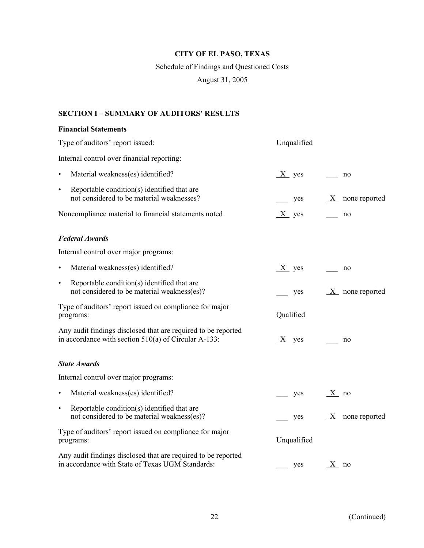# Schedule of Findings and Questioned Costs

August 31, 2005

# **SECTION I – SUMMARY OF AUDITORS' RESULTS**

### **Financial Statements**

| Type of auditors' report issued:                                                                                        | Unqualified |                    |
|-------------------------------------------------------------------------------------------------------------------------|-------------|--------------------|
| Internal control over financial reporting:                                                                              |             |                    |
| Material weakness(es) identified?<br>$\bullet$                                                                          | $X$ yes     | no                 |
| Reportable condition(s) identified that are<br>$\bullet$<br>not considered to be material weaknesses?                   | yes         | $X$ none reported  |
| Noncompliance material to financial statements noted                                                                    | $X$ yes     | no                 |
| <b>Federal Awards</b>                                                                                                   |             |                    |
| Internal control over major programs:                                                                                   |             |                    |
| Material weakness(es) identified?<br>$\bullet$                                                                          | $X$ yes     | no                 |
| Reportable condition(s) identified that are<br>$\bullet$<br>not considered to be material weakness(es)?                 | yes         | $X$ none reported  |
| Type of auditors' report issued on compliance for major<br>programs:                                                    | Qualified   |                    |
| Any audit findings disclosed that are required to be reported<br>in accordance with section $510(a)$ of Circular A-133: | $X$ yes     | no                 |
| <b>State Awards</b>                                                                                                     |             |                    |
| Internal control over major programs:                                                                                   |             |                    |
| Material weakness(es) identified?<br>$\bullet$                                                                          | yes         | $X$ no             |
| Reportable condition(s) identified that are<br>$\bullet$<br>not considered to be material weakness(es)?                 | yes         | $X$ none reported  |
| Type of auditors' report issued on compliance for major<br>programs:                                                    | Unqualified |                    |
| Any audit findings disclosed that are required to be reported<br>in accordance with State of Texas UGM Standards:       | yes         | $\underline{X}$ no |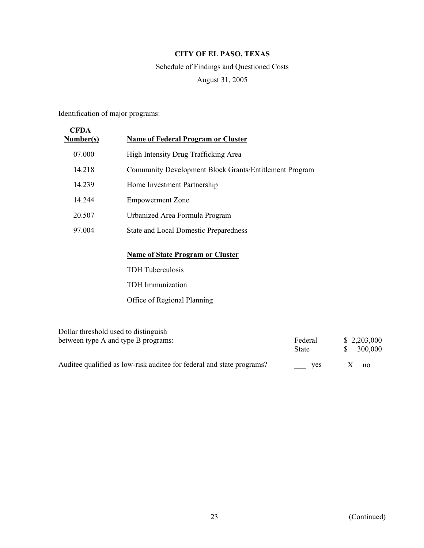# Schedule of Findings and Questioned Costs August 31, 2005

Identification of major programs:

| <b>CFDA</b><br><b>Number(s)</b> | <b>Name of Federal Program or Cluster</b>              |
|---------------------------------|--------------------------------------------------------|
| 07.000                          | High Intensity Drug Trafficking Area                   |
| 14.218                          | Community Development Block Grants/Entitlement Program |
| 14.239                          | Home Investment Partnership                            |
| 14.244                          | <b>Empowerment Zone</b>                                |
| 20.507                          | Urbanized Area Formula Program                         |
| 97.004                          | <b>State and Local Domestic Preparedness</b>           |
|                                 | <b>Name of State Program or Cluster</b>                |
|                                 | <b>TDH</b> Tuberculosis                                |
|                                 | <b>TDH</b> Immunization                                |
|                                 | Office of Regional Planning                            |

| Dollar threshold used to distinguish                                   | Federal | \$2,203,000 |
|------------------------------------------------------------------------|---------|-------------|
| between type A and type B programs:                                    | State   | 300,000     |
| Audities qualified as low-risk audited for federal and state programs? | ves     | no          |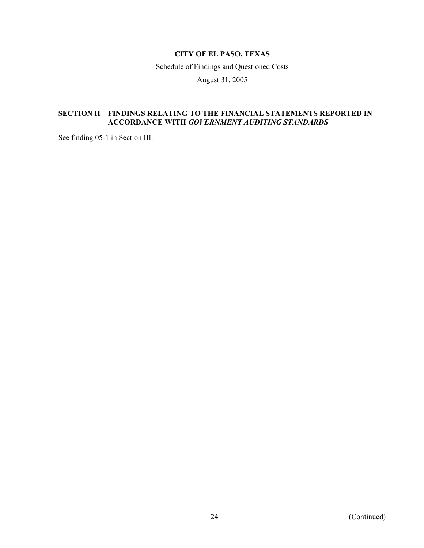Schedule of Findings and Questioned Costs

August 31, 2005

### **SECTION II – FINDINGS RELATING TO THE FINANCIAL STATEMENTS REPORTED IN ACCORDANCE WITH** *GOVERNMENT AUDITING STANDARDS*

See finding 05-1 in Section III.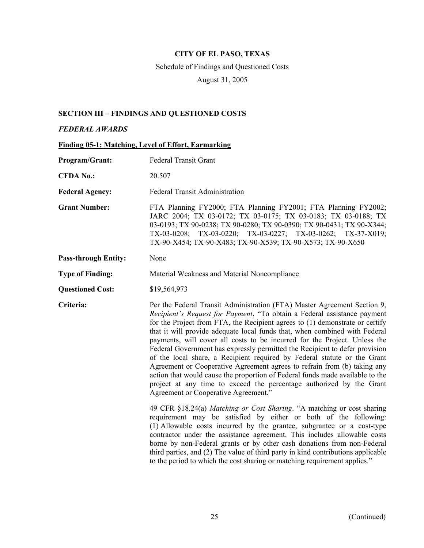# Schedule of Findings and Questioned Costs

August 31, 2005

## **SECTION III – FINDINGS AND QUESTIONED COSTS**

#### *FEDERAL AWARDS*

|  |  | <b>Finding 05-1: Matching, Level of Effort, Earmarking</b> |
|--|--|------------------------------------------------------------|
|  |  |                                                            |

| Program/Grant:              | <b>Federal Transit Grant</b>                                                                                                                                                                                                                                                                                                                                                                                                                                                                                                                                                                                                                                                                                                                                                                                                            |
|-----------------------------|-----------------------------------------------------------------------------------------------------------------------------------------------------------------------------------------------------------------------------------------------------------------------------------------------------------------------------------------------------------------------------------------------------------------------------------------------------------------------------------------------------------------------------------------------------------------------------------------------------------------------------------------------------------------------------------------------------------------------------------------------------------------------------------------------------------------------------------------|
| <b>CFDA No.:</b>            | 20.507                                                                                                                                                                                                                                                                                                                                                                                                                                                                                                                                                                                                                                                                                                                                                                                                                                  |
| <b>Federal Agency:</b>      | <b>Federal Transit Administration</b>                                                                                                                                                                                                                                                                                                                                                                                                                                                                                                                                                                                                                                                                                                                                                                                                   |
| <b>Grant Number:</b>        | FTA Planning FY2000; FTA Planning FY2001; FTA Planning FY2002;<br>JARC 2004; TX 03-0172; TX 03-0175; TX 03-0183; TX 03-0188; TX<br>03-0193; TX 90-0238; TX 90-0280; TX 90-0390; TX 90-0431; TX 90-X344;<br>TX-03-0208; TX-03-0220; TX-03-0227; TX-03-0262; TX-37-X019;<br>TX-90-X454; TX-90-X483; TX-90-X539; TX-90-X573; TX-90-X650                                                                                                                                                                                                                                                                                                                                                                                                                                                                                                    |
| <b>Pass-through Entity:</b> | None                                                                                                                                                                                                                                                                                                                                                                                                                                                                                                                                                                                                                                                                                                                                                                                                                                    |
| <b>Type of Finding:</b>     | Material Weakness and Material Noncompliance                                                                                                                                                                                                                                                                                                                                                                                                                                                                                                                                                                                                                                                                                                                                                                                            |
| <b>Questioned Cost:</b>     | \$19,564,973                                                                                                                                                                                                                                                                                                                                                                                                                                                                                                                                                                                                                                                                                                                                                                                                                            |
| Criteria:                   | Per the Federal Transit Administration (FTA) Master Agreement Section 9,<br>Recipient's Request for Payment, "To obtain a Federal assistance payment<br>for the Project from FTA, the Recipient agrees to (1) demonstrate or certify<br>that it will provide adequate local funds that, when combined with Federal<br>payments, will cover all costs to be incurred for the Project. Unless the<br>Federal Government has expressly permitted the Recipient to defer provision<br>of the local share, a Recipient required by Federal statute or the Grant<br>Agreement or Cooperative Agreement agrees to refrain from (b) taking any<br>action that would cause the proportion of Federal funds made available to the<br>project at any time to exceed the percentage authorized by the Grant<br>Agreement or Cooperative Agreement." |
|                             | 49 CFR §18.24(a) Matching or Cost Sharing. "A matching or cost sharing<br>requirement may be satisfied by either or both of the following:<br>(1) Allowable costs incurred by the grantee, subgrantee or a cost-type<br>contractor under the assistance agreement. This includes allowable costs<br>borne by non-Federal grants or by other cash donations from non-Federal<br>third parties, and (2) The value of third party in kind contributions applicable<br>to the period to which the cost sharing or matching requirement applies."                                                                                                                                                                                                                                                                                            |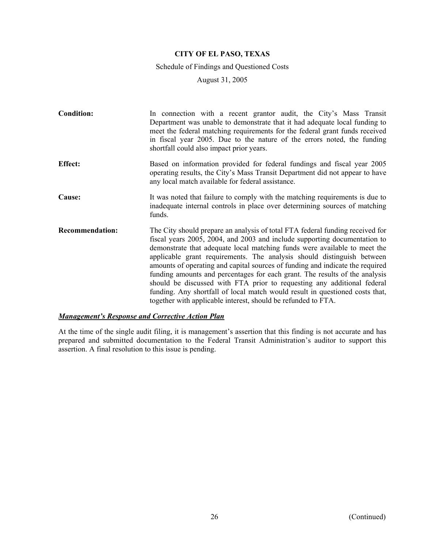#### Schedule of Findings and Questioned Costs

August 31, 2005

| <b>Condition:</b>      | In connection with a recent grantor audit, the City's Mass Transit<br>Department was unable to demonstrate that it had adequate local funding to<br>meet the federal matching requirements for the federal grant funds received<br>in fiscal year 2005. Due to the nature of the errors noted, the funding<br>shortfall could also impact prior years.                                                                                                                                                                                                                                                                                                                                                        |
|------------------------|---------------------------------------------------------------------------------------------------------------------------------------------------------------------------------------------------------------------------------------------------------------------------------------------------------------------------------------------------------------------------------------------------------------------------------------------------------------------------------------------------------------------------------------------------------------------------------------------------------------------------------------------------------------------------------------------------------------|
| <b>Effect:</b>         | Based on information provided for federal fundings and fiscal year 2005<br>operating results, the City's Mass Transit Department did not appear to have<br>any local match available for federal assistance.                                                                                                                                                                                                                                                                                                                                                                                                                                                                                                  |
| Cause:                 | It was noted that failure to comply with the matching requirements is due to<br>inadequate internal controls in place over determining sources of matching<br>funds.                                                                                                                                                                                                                                                                                                                                                                                                                                                                                                                                          |
| <b>Recommendation:</b> | The City should prepare an analysis of total FTA federal funding received for<br>fiscal years 2005, 2004, and 2003 and include supporting documentation to<br>demonstrate that adequate local matching funds were available to meet the<br>applicable grant requirements. The analysis should distinguish between<br>amounts of operating and capital sources of funding and indicate the required<br>funding amounts and percentages for each grant. The results of the analysis<br>should be discussed with FTA prior to requesting any additional federal<br>funding. Any shortfall of local match would result in questioned costs that,<br>together with applicable interest, should be refunded to FTA. |

### *Management's Response and Corrective Action Plan*

At the time of the single audit filing, it is management's assertion that this finding is not accurate and has prepared and submitted documentation to the Federal Transit Administration's auditor to support this assertion. A final resolution to this issue is pending.